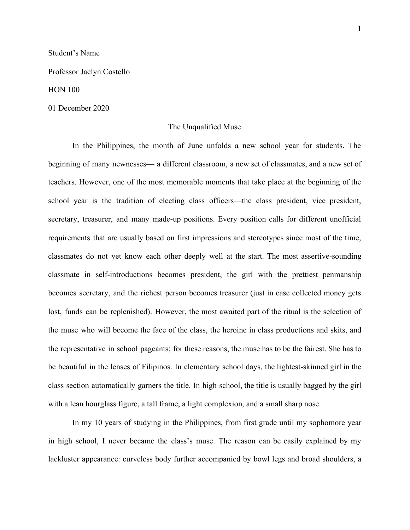## Student's Name

Professor Jaclyn Costello

## HON 100

#### 01 December 2020

# The Unqualified Muse

In the Philippines, the month of June unfolds a new school year for students. The beginning of many newnesses— a different classroom, a new set of classmates, and a new set of teachers. However, one of the most memorable moments that take place at the beginning of the school year is the tradition of electing class officers—the class president, vice president, secretary, treasurer, and many made-up positions. Every position calls for different unofficial requirements that are usually based on first impressions and stereotypes since most of the time, classmates do not yet know each other deeply well at the start. The most assertive-sounding classmate in self-introductions becomes president, the girl with the prettiest penmanship becomes secretary, and the richest person becomes treasurer (just in case collected money gets lost, funds can be replenished). However, the most awaited part of the ritual is the selection of the muse who will become the face of the class, the heroine in class productions and skits, and the representative in school pageants; for these reasons, the muse has to be the fairest. She has to be beautiful in the lenses of Filipinos. In elementary school days, the lightest-skinned girl in the class section automatically garners the title. In high school, the title is usually bagged by the girl with a lean hourglass figure, a tall frame, a light complexion, and a small sharp nose.

In my 10 years of studying in the Philippines, from first grade until my sophomore year in high school, I never became the class's muse. The reason can be easily explained by my lackluster appearance: curveless body further accompanied by bowl legs and broad shoulders, a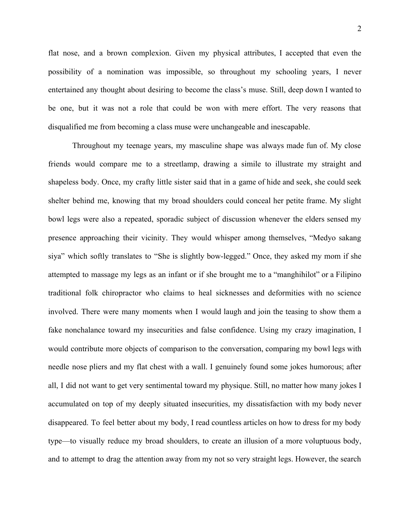flat nose, and a brown complexion. Given my physical attributes, I accepted that even the possibility of a nomination was impossible, so throughout my schooling years, I never entertained any thought about desiring to become the class's muse. Still, deep down I wanted to be one, but it was not a role that could be won with mere effort. The very reasons that disqualified me from becoming a class muse were unchangeable and inescapable.

Throughout my teenage years, my masculine shape was always made fun of. My close friends would compare me to a streetlamp, drawing a simile to illustrate my straight and shapeless body. Once, my crafty little sister said that in a game of hide and seek, she could seek shelter behind me, knowing that my broad shoulders could conceal her petite frame. My slight bowl legs were also a repeated, sporadic subject of discussion whenever the elders sensed my presence approaching their vicinity. They would whisper among themselves, "Medyo sakang siya" which softly translates to "She is slightly bow-legged." Once, they asked my mom if she attempted to massage my legs as an infant or if she brought me to a "manghihilot" or a Filipino traditional folk chiropractor who claims to heal sicknesses and deformities with no science involved. There were many moments when I would laugh and join the teasing to show them a fake nonchalance toward my insecurities and false confidence. Using my crazy imagination, I would contribute more objects of comparison to the conversation, comparing my bowl legs with needle nose pliers and my flat chest with a wall. I genuinely found some jokes humorous; after all, I did not want to get very sentimental toward my physique. Still, no matter how many jokes I accumulated on top of my deeply situated insecurities, my dissatisfaction with my body never disappeared. To feel better about my body, I read countless articles on how to dress for my body type—to visually reduce my broad shoulders, to create an illusion of a more voluptuous body, and to attempt to drag the attention away from my not so very straight legs. However, the search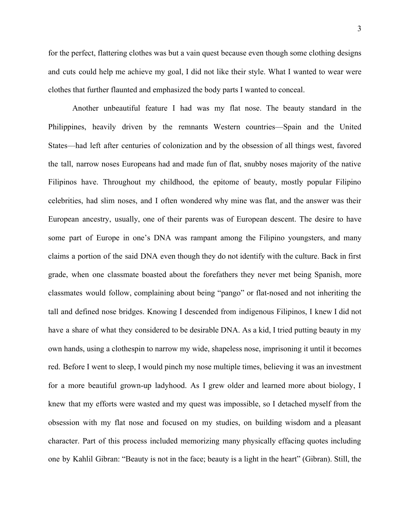for the perfect, flattering clothes was but a vain quest because even though some clothing designs and cuts could help me achieve my goal, I did not like their style. What I wanted to wear were clothes that further flaunted and emphasized the body parts I wanted to conceal.

Another unbeautiful feature I had was my flat nose. The beauty standard in the Philippines, heavily driven by the remnants Western countries—Spain and the United States—had left after centuries of colonization and by the obsession of all things west, favored the tall, narrow noses Europeans had and made fun of flat, snubby noses majority of the native Filipinos have. Throughout my childhood, the epitome of beauty, mostly popular Filipino celebrities, had slim noses, and I often wondered why mine was flat, and the answer was their European ancestry, usually, one of their parents was of European descent. The desire to have some part of Europe in one's DNA was rampant among the Filipino youngsters, and many claims a portion of the said DNA even though they do not identify with the culture. Back in first grade, when one classmate boasted about the forefathers they never met being Spanish, more classmates would follow, complaining about being "pango" or flat-nosed and not inheriting the tall and defined nose bridges. Knowing I descended from indigenous Filipinos, I knew I did not have a share of what they considered to be desirable DNA. As a kid, I tried putting beauty in my own hands, using a clothespin to narrow my wide, shapeless nose, imprisoning it until it becomes red. Before I went to sleep, I would pinch my nose multiple times, believing it was an investment for a more beautiful grown-up ladyhood. As I grew older and learned more about biology, I knew that my efforts were wasted and my quest was impossible, so I detached myself from the obsession with my flat nose and focused on my studies, on building wisdom and a pleasant character. Part of this process included memorizing many physically effacing quotes including one by Kahlil Gibran: "Beauty is not in the face; beauty is a light in the heart" (Gibran). Still, the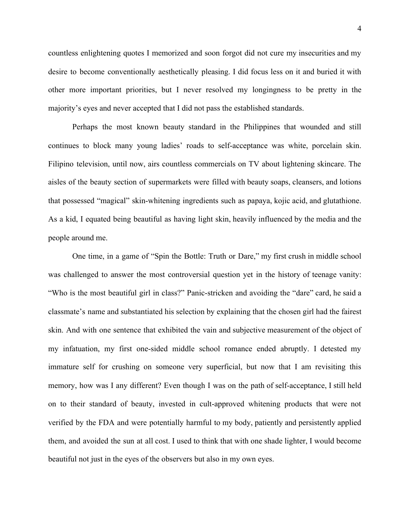countless enlightening quotes I memorized and soon forgot did not cure my insecurities and my desire to become conventionally aesthetically pleasing. I did focus less on it and buried it with other more important priorities, but I never resolved my longingness to be pretty in the majority's eyes and never accepted that I did not pass the established standards.

Perhaps the most known beauty standard in the Philippines that wounded and still continues to block many young ladies' roads to self-acceptance was white, porcelain skin. Filipino television, until now, airs countless commercials on TV about lightening skincare. The aisles of the beauty section of supermarkets were filled with beauty soaps, cleansers, and lotions that possessed "magical" skin-whitening ingredients such as papaya, kojic acid, and glutathione. As a kid, I equated being beautiful as having light skin, heavily influenced by the media and the people around me.

One time, in a game of "Spin the Bottle: Truth or Dare," my first crush in middle school was challenged to answer the most controversial question yet in the history of teenage vanity: "Who is the most beautiful girl in class?" Panic-stricken and avoiding the "dare" card, he said a classmate's name and substantiated his selection by explaining that the chosen girl had the fairest skin. And with one sentence that exhibited the vain and subjective measurement of the object of my infatuation, my first one-sided middle school romance ended abruptly. I detested my immature self for crushing on someone very superficial, but now that I am revisiting this memory, how was I any different? Even though I was on the path of self-acceptance, I still held on to their standard of beauty, invested in cult-approved whitening products that were not verified by the FDA and were potentially harmful to my body, patiently and persistently applied them, and avoided the sun at all cost. I used to think that with one shade lighter, I would become beautiful not just in the eyes of the observers but also in my own eyes.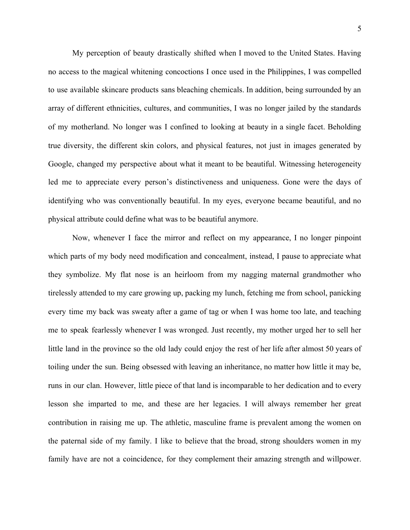My perception of beauty drastically shifted when I moved to the United States. Having no access to the magical whitening concoctions I once used in the Philippines, I was compelled to use available skincare products sans bleaching chemicals. In addition, being surrounded by an array of different ethnicities, cultures, and communities, I was no longer jailed by the standards of my motherland. No longer was I confined to looking at beauty in a single facet. Beholding true diversity, the different skin colors, and physical features, not just in images generated by Google, changed my perspective about what it meant to be beautiful. Witnessing heterogeneity led me to appreciate every person's distinctiveness and uniqueness. Gone were the days of identifying who was conventionally beautiful. In my eyes, everyone became beautiful, and no physical attribute could define what was to be beautiful anymore.

Now, whenever I face the mirror and reflect on my appearance, I no longer pinpoint which parts of my body need modification and concealment, instead, I pause to appreciate what they symbolize. My flat nose is an heirloom from my nagging maternal grandmother who tirelessly attended to my care growing up, packing my lunch, fetching me from school, panicking every time my back was sweaty after a game of tag or when I was home too late, and teaching me to speak fearlessly whenever I was wronged. Just recently, my mother urged her to sell her little land in the province so the old lady could enjoy the rest of her life after almost 50 years of toiling under the sun. Being obsessed with leaving an inheritance, no matter how little it may be, runs in our clan. However, little piece of that land is incomparable to her dedication and to every lesson she imparted to me, and these are her legacies. I will always remember her great contribution in raising me up. The athletic, masculine frame is prevalent among the women on the paternal side of my family. I like to believe that the broad, strong shoulders women in my family have are not a coincidence, for they complement their amazing strength and willpower.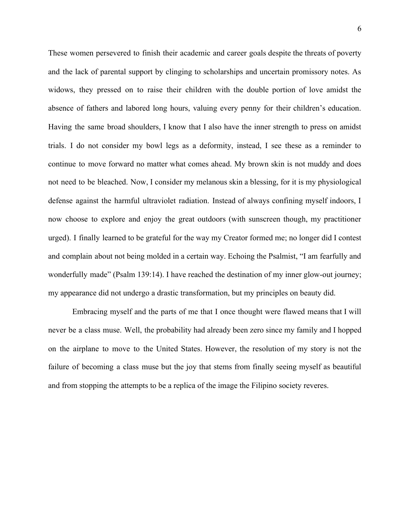These women persevered to finish their academic and career goals despite the threats of poverty and the lack of parental support by clinging to scholarships and uncertain promissory notes. As widows, they pressed on to raise their children with the double portion of love amidst the absence of fathers and labored long hours, valuing every penny for their children's education. Having the same broad shoulders, I know that I also have the inner strength to press on amidst trials. I do not consider my bowl legs as a deformity, instead, I see these as a reminder to continue to move forward no matter what comes ahead. My brown skin is not muddy and does not need to be bleached. Now, I consider my melanous skin a blessing, for it is my physiological defense against the harmful ultraviolet radiation. Instead of always confining myself indoors, I now choose to explore and enjoy the great outdoors (with sunscreen though, my practitioner urged). I finally learned to be grateful for the way my Creator formed me; no longer did I contest and complain about not being molded in a certain way. Echoing the Psalmist, "I am fearfully and wonderfully made" (Psalm 139:14). I have reached the destination of my inner glow-out journey; my appearance did not undergo a drastic transformation, but my principles on beauty did.

Embracing myself and the parts of me that I once thought were flawed means that I will never be a class muse. Well, the probability had already been zero since my family and I hopped on the airplane to move to the United States. However, the resolution of my story is not the failure of becoming a class muse but the joy that stems from finally seeing myself as beautiful and from stopping the attempts to be a replica of the image the Filipino society reveres.